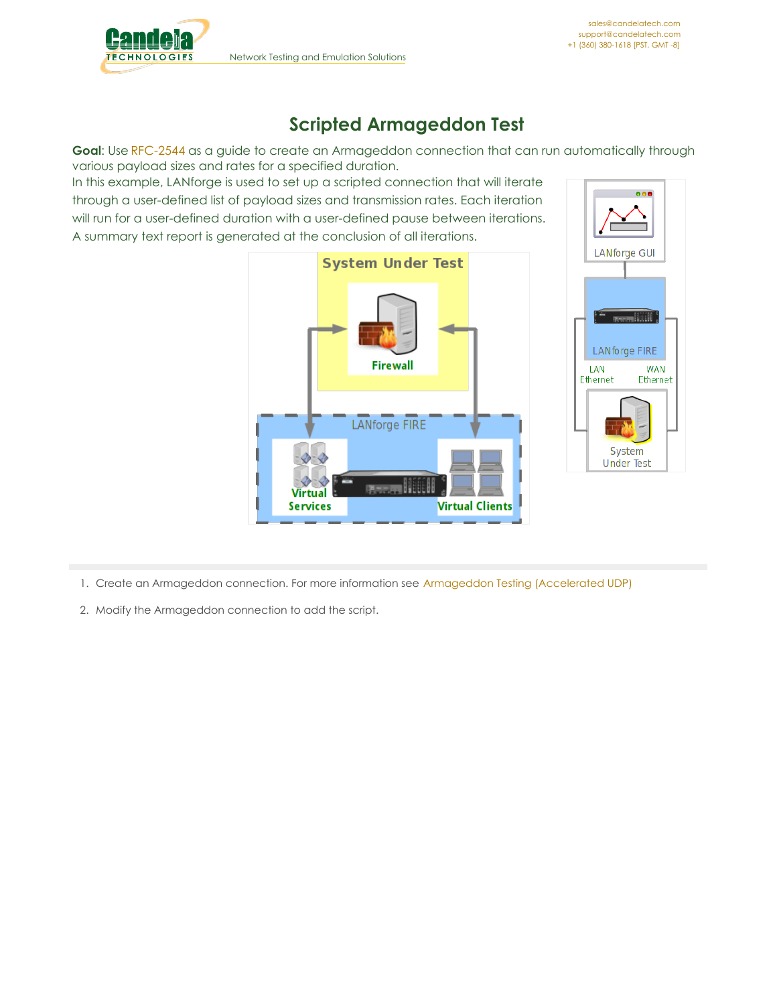

## **Scripted Armageddon Test**

**Goal**: Use [RFC-2544](http://www.faqs.org/rfcs/rfc2544.html) as a guide to create an Armageddon connection that can run automatically through various payload sizes and rates for a specified duration.

In this example, LANforge is used to set up a scripted connection that will iterate through a user-defined list of payload sizes and transmission rates. Each iteration will run for a user-defined duration with a user-defined pause between iterations. A summary text report is generated at the conclusion of all iterations.





1. Create an Armageddon connection. For more information see [Armageddon](http://www.candelatech.com/cookbook.php?vol=fire&book=accelerated+udp+testing) Testing (Accelerated UDP)

2. Modify the Armageddon connection to add the script.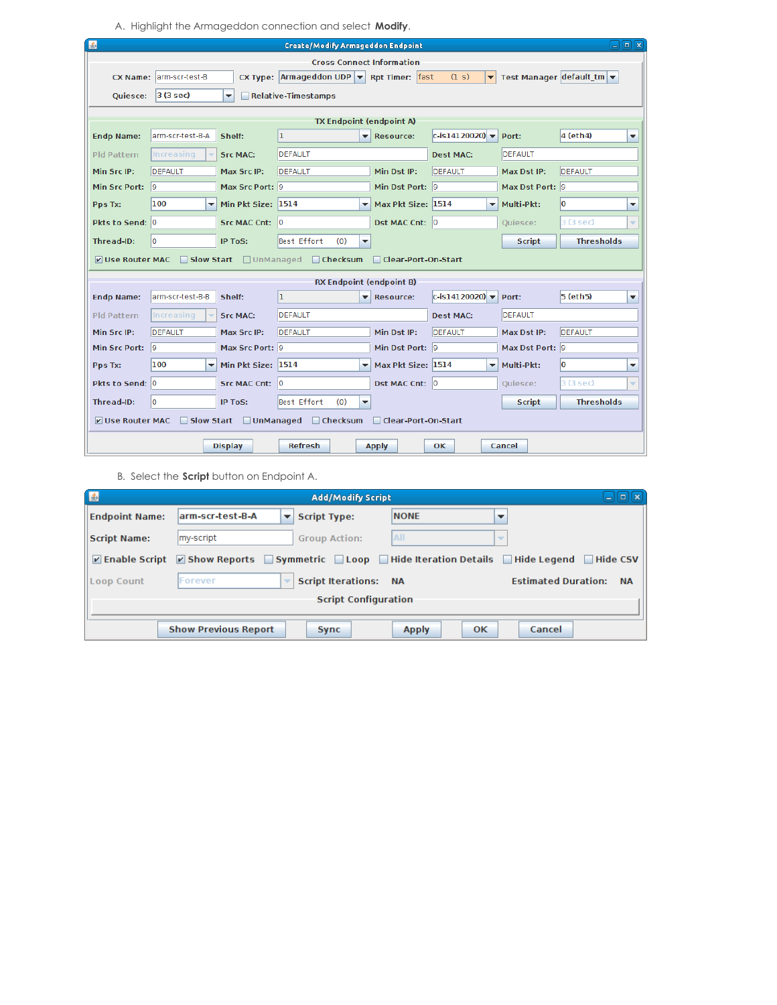A. Highlight the Armageddon connection and select **Modify**.

| ▲       | $\Box$ $\Box$ $\Box$<br><b>Create/Modify Armageddon Endpoint</b> |                         |                                                |                                                                     |                          |                                                                    |                                                   |                 |                                       |   |  |  |
|---------|------------------------------------------------------------------|-------------------------|------------------------------------------------|---------------------------------------------------------------------|--------------------------|--------------------------------------------------------------------|---------------------------------------------------|-----------------|---------------------------------------|---|--|--|
|         |                                                                  |                         |                                                |                                                                     |                          | <b>Cross Connect Information</b>                                   |                                                   |                 |                                       |   |  |  |
|         |                                                                  | CX Name: arm-scr-test-B |                                                | CX Type: $\vert$ Armageddon UDP $\vert \cdot \vert$ Rpt Timer: fast |                          |                                                                    | (1 s)<br>▾                                        |                 | Test Manager default $tm \rightarrow$ |   |  |  |
|         | <b>Ouiesce:</b>                                                  | $3(3 \text{ sec})$      | $\overline{\phantom{a}}$                       | Relative-Timestamps                                                 |                          |                                                                    |                                                   |                 |                                       |   |  |  |
|         |                                                                  |                         |                                                |                                                                     |                          |                                                                    |                                                   |                 |                                       |   |  |  |
|         | <b>Endp Name:</b>                                                | arm-scr-test-B-A        | Shelf:                                         | ı                                                                   |                          | <b>TX Endpoint (endpoint A)</b><br>$\blacktriangleright$ Resource: | $ c - i s 1 4 1 2 0 0 2 0 $ $\blacktriangleright$ | Port:           | $4$ (eth $4$ )                        | ▼ |  |  |
|         |                                                                  |                         |                                                |                                                                     |                          |                                                                    |                                                   |                 |                                       |   |  |  |
|         | Pld Pattern                                                      | Increasing              | <b>Src MAC:</b>                                | <b>DEFAULT</b>                                                      |                          |                                                                    | <b>Dest MAC:</b>                                  | <b>DEFAULT</b>  |                                       |   |  |  |
|         | Min Src IP:                                                      | <b>DEFAULT</b>          | Max Src IP:                                    | <b>DEFAULT</b>                                                      |                          | Min Dst IP:                                                        | DEFAULT                                           | Max Dst IP:     | DEFAULT                               |   |  |  |
|         | Min Src Port: 9                                                  |                         | Max Src Port: 9                                |                                                                     |                          | Min Dst Port: 9                                                    |                                                   | Max Dst Port: 9 |                                       |   |  |  |
| Pps Tx: |                                                                  | 100                     | $\overline{\phantom{a}}$<br>Min Pkt Size: 1514 | $\overline{\mathbf{v}}$                                             |                          | Max Pkt Size: 1514                                                 | $\blacktriangledown$                              | Multi-Pkt:      | lo                                    | ÷ |  |  |
|         | Pkts to Send: 0                                                  |                         | Src MAC Cnt: 0                                 |                                                                     |                          | Dst MAC Cnt: 0                                                     |                                                   | Ouiesce:        | 3 (3 sec)                             | ÷ |  |  |
|         | Thread-ID:                                                       | l0.                     | IP ToS:                                        | Best Effort<br>(0)                                                  | $\overline{\phantom{a}}$ |                                                                    |                                                   | <b>Script</b>   | <b>Thresholds</b>                     |   |  |  |
|         | <b>V</b> Use Router MAC                                          |                         |                                                | □ Slow Start □ UnManaged □ Checksum                                 |                          | Clear-Port-On-Start                                                |                                                   |                 |                                       |   |  |  |
|         |                                                                  |                         |                                                |                                                                     |                          | <b>RX Endpoint (endpoint B)</b>                                    |                                                   |                 |                                       |   |  |  |
|         | <b>Endp Name:</b>                                                | arm-scr-test-B-B        | Shelf:                                         | ı                                                                   | ▼                        | <b>Resource:</b>                                                   | $ c-$ is14120020) $\blacktriangledown$            | Port:           | 5 (eth5)                              | ▼ |  |  |
|         | Pld Pattern                                                      | Increasing              | <b>Src MAC:</b>                                | <b>DEFAULT</b>                                                      |                          |                                                                    | <b>Dest MAC:</b>                                  | <b>DEFAULT</b>  |                                       |   |  |  |
|         | Min Src IP:                                                      | <b>DEFAULT</b>          | Max Src IP:                                    | DEFAULT                                                             |                          | Min Dst IP:                                                        | DEFAULT                                           | Max Dst IP:     | DEFAULT                               |   |  |  |
|         | Min Src Port: 9                                                  |                         | Max Src Port: 9                                |                                                                     |                          | Min Dst Port: 9                                                    |                                                   | Max Dst Port: 9 |                                       |   |  |  |
| Pps Tx: |                                                                  | 100                     | Min Pkt Size: 1514<br>$\overline{\phantom{a}}$ |                                                                     | $\overline{\phantom{a}}$ | Max Pkt Size: 1514                                                 | $\overline{\phantom{a}}$                          | Multi-Pkt:      | lo                                    | ▼ |  |  |
|         | Pkts to Send: 0                                                  |                         | Src MAC Cnt: 0                                 |                                                                     |                          | Dst MAC Cnt: 0                                                     |                                                   | Quiesce:        | 3 (3 sec)                             | ÷ |  |  |
|         | Thread-ID:                                                       | o                       | <b>IP ToS:</b>                                 | Best Effort<br>(0)                                                  | $\blacktriangledown$     |                                                                    |                                                   | <b>Script</b>   | <b>Thresholds</b>                     |   |  |  |
|         | V Use Router MAC                                                 |                         |                                                | □ Slow Start □ UnManaged □ Checksum □ Clear-Port-On-Start           |                          |                                                                    |                                                   |                 |                                       |   |  |  |
|         |                                                                  |                         | <b>Display</b>                                 | <b>Refresh</b>                                                      |                          | <b>Apply</b>                                                       | 0K.                                               | Cancel          |                                       |   |  |  |

B. Select the **Script** button on Endpoint A.

| E                              |                                                                                                                                                | <b>Add/Modify Script</b>     |                                 | $\Box$ $\mathbf{x}$                     |
|--------------------------------|------------------------------------------------------------------------------------------------------------------------------------------------|------------------------------|---------------------------------|-----------------------------------------|
| <b>Endpoint Name:</b>          | larm-scr-test-B-A<br>▼                                                                                                                         | <b>Script Type:</b>          | <b>NONE</b>                     |                                         |
| <b>Script Name:</b>            | my-script                                                                                                                                      | <b>Group Action:</b>         | All<br>$\overline{\phantom{a}}$ |                                         |
| $\triangleright$ Enable Script | $\triangledown$ Show Reports $\triangledown$ Symmetric $\triangledown$ Loop $\triangledown$ Hide Iteration Details $\triangledown$ Hide Legend |                              |                                 | $\Box$ Hide CSV                         |
| <b>Loop Count</b>              | Forever                                                                                                                                        | <b>Script Iterations: NA</b> |                                 | <b>Estimated Duration:</b><br><b>NA</b> |
|                                |                                                                                                                                                | <b>Script Configuration</b>  |                                 |                                         |
|                                | <b>Show Previous Report</b>                                                                                                                    | Sync                         | <b>Apply</b><br>$\alpha$        | Cancel                                  |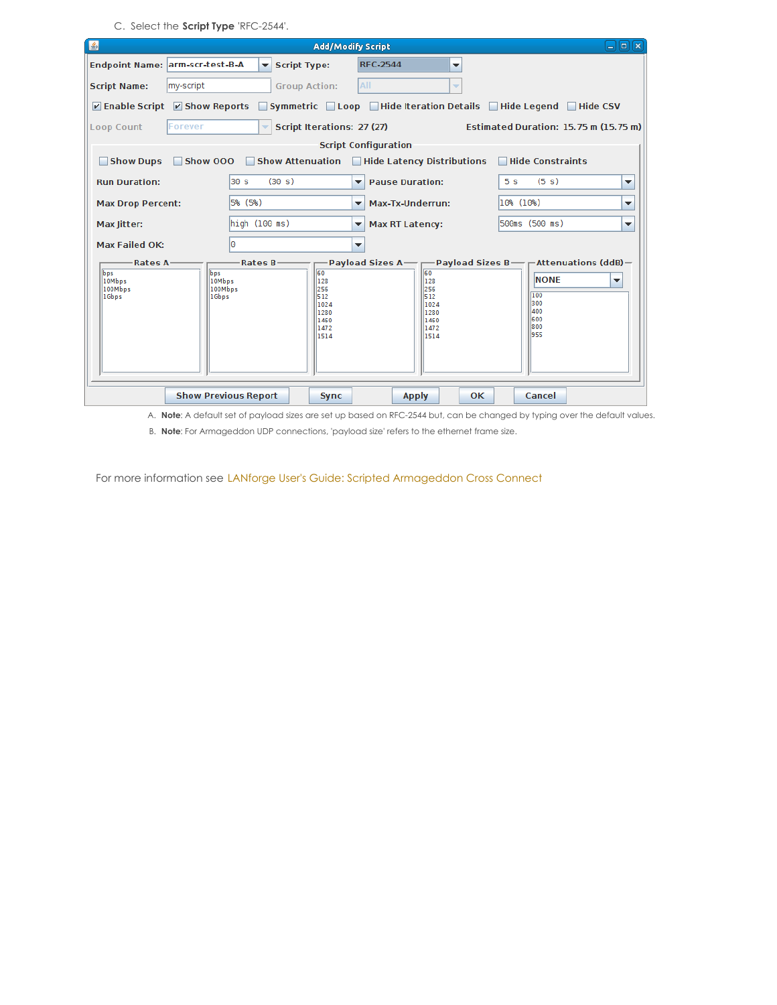C. Select the **Script Type** 'RFC-2544'.

| 国                                                                                                  |                                   |               |                                                                                                  | <b>Add/Modify Script</b>     |                                                                 |                |                                                       | $-$ i $\left[ n\right]$ i $\left[ n\right]$ |  |  |  |  |
|----------------------------------------------------------------------------------------------------|-----------------------------------|---------------|--------------------------------------------------------------------------------------------------|------------------------------|-----------------------------------------------------------------|----------------|-------------------------------------------------------|---------------------------------------------|--|--|--|--|
| Endpoint Name: arm-scr-test-B-A                                                                    |                                   | ▾             | <b>Script Type:</b>                                                                              | <b>RFC-2544</b>              | ▼                                                               |                |                                                       |                                             |  |  |  |  |
| <b>Script Name:</b>                                                                                | my-script                         |               | <b>Group Action:</b>                                                                             | All                          |                                                                 |                |                                                       |                                             |  |  |  |  |
|                                                                                                    |                                   |               | <b>☑ Enable Script ☑ Show Reports</b> Symmetric Loop Hide Iteration Details Hide Legend Hide CSV |                              |                                                                 |                |                                                       |                                             |  |  |  |  |
| Script Iterations: 27 (27)<br>Estimated Duration: 15.75 m (15.75 m)<br>Loop Count<br>Forever<br>÷. |                                   |               |                                                                                                  |                              |                                                                 |                |                                                       |                                             |  |  |  |  |
| <b>Script Configuration</b>                                                                        |                                   |               |                                                                                                  |                              |                                                                 |                |                                                       |                                             |  |  |  |  |
| Show Dups                                                                                          |                                   |               | Show 000 Show Attenuation Hide Latency Distributions                                             |                              |                                                                 |                | Hide Constraints                                      |                                             |  |  |  |  |
| <b>Run Duration:</b>                                                                               |                                   | 130 s         | (30 s)                                                                                           | <b>Pause Duration:</b><br>▼∣ |                                                                 | 5 <sub>s</sub> | (5 s)                                                 | ▼                                           |  |  |  |  |
| <b>Max Drop Percent:</b>                                                                           |                                   | 5% (5%)       |                                                                                                  | $\overline{\phantom{a}}$     | Max-Tx-Underrun:                                                |                | 10% (10%)<br>▼                                        |                                             |  |  |  |  |
| Max Jitter:                                                                                        |                                   | high (100 ms) |                                                                                                  | ▼∣                           | <b>Max RT Latency:</b>                                          |                |                                                       | ▼                                           |  |  |  |  |
| <b>Max Failed OK:</b>                                                                              |                                   | l٥            |                                                                                                  | $\overline{\phantom{a}}$     |                                                                 |                |                                                       |                                             |  |  |  |  |
| <b>Rates A-</b><br>bps<br>10Mbps<br>100Mbps<br>1Gbps                                               | bps<br>10Mbps<br>100Mbps<br>1Gbps | Rates $B-$    | 60<br>128<br>256<br>512<br>1024<br>1280<br>1460<br>1472<br>1514                                  |                              | 60<br>128<br>256<br>512<br>1024<br>1280<br>1460<br>1472<br>1514 |                | <b>NONE</b><br>100<br>300<br>400<br>600<br>800<br>955 | ▼                                           |  |  |  |  |
|                                                                                                    | <b>Show Previous Report</b>       |               | <b>Sync</b>                                                                                      |                              | <b>Apply</b>                                                    | OK             | Cancel                                                |                                             |  |  |  |  |

A. **Note**: A default set of payload sizes are set up based on RFC-2544 but, can be changed by typing over the default values.

B. **Note**: For Armageddon UDP connections, 'payload size' refers to the ethernet frame size.

For more information see LANforge User's Guide: Scripted [Armageddon](http://www.candelatech.com/lfgui_ug.php#arm_scr) Cross Connect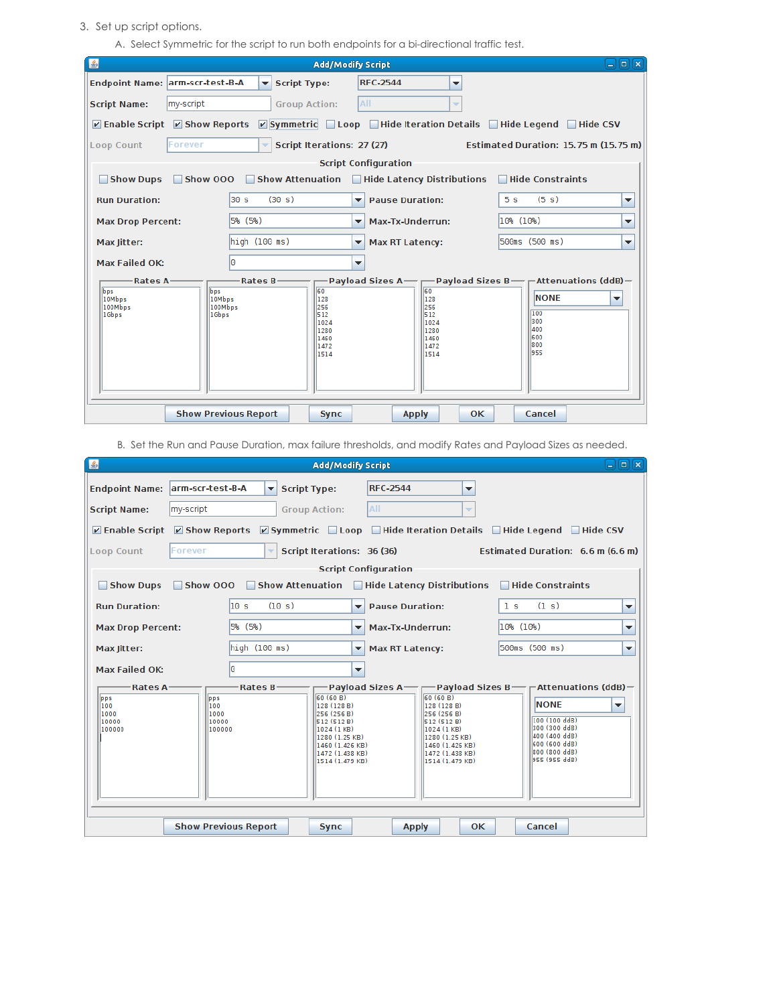## 3. Set up script options.

A. Select Symmetric for the script to run both endpoints for a bi-directional traffic test.

| 图                                                                                                                                                                                                                                                                                                                                                                                                                |                                                                                                                                             |                      |                      | <b>Add/Modify Script</b>                     |                          | $ \sqrt{a}$                                |  |  |  |  |  |  |
|------------------------------------------------------------------------------------------------------------------------------------------------------------------------------------------------------------------------------------------------------------------------------------------------------------------------------------------------------------------------------------------------------------------|---------------------------------------------------------------------------------------------------------------------------------------------|----------------------|----------------------|----------------------------------------------|--------------------------|--------------------------------------------|--|--|--|--|--|--|
| Endpoint Name: arm-scr-test-B-A                                                                                                                                                                                                                                                                                                                                                                                  |                                                                                                                                             | $\blacktriangledown$ | <b>Script Type:</b>  | <b>RFC-2544</b>                              | ▼                        |                                            |  |  |  |  |  |  |
| <b>Script Name:</b>                                                                                                                                                                                                                                                                                                                                                                                              | my-script                                                                                                                                   |                      | <b>Group Action:</b> | All                                          | $\overline{\phantom{a}}$ |                                            |  |  |  |  |  |  |
|                                                                                                                                                                                                                                                                                                                                                                                                                  | $\triangleright$ Symmetric Loop Hide Iteration Details Hide Legend Hide CSV<br>$\triangleright$ Enable Script $\triangleright$ Show Reports |                      |                      |                                              |                          |                                            |  |  |  |  |  |  |
| Forever<br>Script Iterations: 27 (27)<br>Estimated Duration: 15.75 m (15.75 m)<br>Loop Count<br>┳∣                                                                                                                                                                                                                                                                                                               |                                                                                                                                             |                      |                      |                                              |                          |                                            |  |  |  |  |  |  |
| <b>Script Configuration</b>                                                                                                                                                                                                                                                                                                                                                                                      |                                                                                                                                             |                      |                      |                                              |                          |                                            |  |  |  |  |  |  |
| Show 000 Show Attenuation Hide Latency Distributions Hide Constraints<br>Show Dups                                                                                                                                                                                                                                                                                                                               |                                                                                                                                             |                      |                      |                                              |                          |                                            |  |  |  |  |  |  |
| <b>Run Duration:</b>                                                                                                                                                                                                                                                                                                                                                                                             |                                                                                                                                             | l30 s.               | (30 s)               | $\blacktriangleright$ Pause Duration:        |                          | (5 s)<br>5 <sub>s</sub><br>▼               |  |  |  |  |  |  |
| <b>Max Drop Percent:</b>                                                                                                                                                                                                                                                                                                                                                                                         |                                                                                                                                             | 5% (5%)              |                      | Max-Tx-Underrun:<br>$\overline{\phantom{a}}$ |                          | 10% (10%)<br>▼                             |  |  |  |  |  |  |
| Max Jitter:                                                                                                                                                                                                                                                                                                                                                                                                      |                                                                                                                                             | high (100 ms)        |                      | <b>Max RT Latency:</b><br>▼                  |                          | 500ms (500 ms)<br>$\overline{\phantom{a}}$ |  |  |  |  |  |  |
| <b>Max Failed OK:</b>                                                                                                                                                                                                                                                                                                                                                                                            |                                                                                                                                             | lΘ                   |                      | $\overline{\phantom{a}}$                     |                          |                                            |  |  |  |  |  |  |
| $\Box$ Payload Sizes A $\Box$ $\Box$ Payload Sizes B $\Box$ $\Box$ Attenuations (ddB) $\Box$<br>-Rates A-<br>$Rates$ B<br>60<br>60<br><b>lbps</b><br>bps<br><b>NONE</b><br>128<br>10Mbps<br>128<br>10Mbps<br>▼<br>256<br>100Mbps<br>256<br>100Mbps<br>100<br>512<br>1Gbps<br>1Gbps<br>512<br>1300<br>1024<br>1024<br>400<br>1280<br>1280<br>1600<br>1460<br>1460<br>1800<br>1472<br>1472<br>1955<br>1514<br>1514 |                                                                                                                                             |                      |                      |                                              |                          |                                            |  |  |  |  |  |  |
|                                                                                                                                                                                                                                                                                                                                                                                                                  | <b>Show Previous Report</b>                                                                                                                 |                      | <b>Sync</b>          | <b>Apply</b>                                 | OK                       | Cancel                                     |  |  |  |  |  |  |

B. Set the Run and Pause Duration, max failure thresholds, and modify Rates and Payload Sizes as needed.

| 国                                                            |                             |                          | <b>Add/Modify Script</b>                                                                                                                     |   |                                                                                      |                                   |    |                |                                   |                         | $\Box$ elx               |
|--------------------------------------------------------------|-----------------------------|--------------------------|----------------------------------------------------------------------------------------------------------------------------------------------|---|--------------------------------------------------------------------------------------|-----------------------------------|----|----------------|-----------------------------------|-------------------------|--------------------------|
| Endpoint Name: arm-scr-test-B-A                              |                             | $\overline{\phantom{a}}$ | <b>Script Type:</b>                                                                                                                          |   | <b>RFC-2544</b>                                                                      |                                   | ▼  |                |                                   |                         |                          |
| <b>Script Name:</b>                                          | my-script                   |                          | <b>Group Action:</b>                                                                                                                         |   | All                                                                                  |                                   | ▼  |                |                                   |                         |                          |
| $\triangleright$ Enable Script $\triangleright$ Show Reports |                             |                          | $\boxed{\triangleright}$ Symmetric $\boxed{\phantom{a}}$ Loop $\boxed{\phantom{a}}$ Hide Iteration Details $\boxed{\phantom{a}}$ Hide Legend |   |                                                                                      |                                   |    |                |                                   | $\blacksquare$ Hide CSV |                          |
| <b>Loop Count</b>                                            | Forever                     | ÷                        | Script Iterations: 36 (36)                                                                                                                   |   |                                                                                      |                                   |    |                | Estimated Duration: 6.6 m (6.6 m) |                         |                          |
|                                                              |                             |                          |                                                                                                                                              |   | <b>Script Configuration</b>                                                          |                                   |    |                |                                   |                         |                          |
| Show Dups                                                    | <b>Show 000</b>             |                          | Show Attenuation                                                                                                                             |   | Hide Latency Distributions                                                           |                                   |    |                | Hide Constraints                  |                         |                          |
| <b>Run Duration:</b>                                         |                             | $\overline{10}$ s        | (10 s)                                                                                                                                       | ▾ | <b>Pause Duration:</b>                                                               |                                   |    | 1 <sub>s</sub> | (1 s)                             |                         | ▼                        |
| <b>Max Drop Percent:</b>                                     |                             | Max-Tx-Underrun:<br>▼    |                                                                                                                                              |   | 10% (10%)<br>▼                                                                       |                                   |    |                |                                   |                         |                          |
| Max Jitter:                                                  |                             | high (100 ms)            |                                                                                                                                              | ▼ | <b>Max RT Latency:</b>                                                               |                                   |    |                | 500ms (500 ms)                    |                         | $\overline{\phantom{a}}$ |
| Max Failed OK:                                               |                             | I٥                       |                                                                                                                                              | ▼ |                                                                                      |                                   |    |                |                                   |                         |                          |
| <b>Rates A</b>                                               |                             | Rates B-                 |                                                                                                                                              |   | Payload Sizes A — $\rightarrow$ Payload Sizes B — $\rightarrow$ Attenuations (ddB) – |                                   |    |                |                                   |                         |                          |
| pps<br>100                                                   | pps<br>100                  |                          | 60 (60 B)<br>128 (128 B)                                                                                                                     |   |                                                                                      | 60(60B)<br>128 (128 B)            |    |                | <b>NONE</b>                       |                         | ▼                        |
| 1000                                                         | 1000                        |                          | 256 (256 B)                                                                                                                                  |   |                                                                                      | 256 (256 B)                       |    |                | 100 (100 ddB)                     |                         |                          |
| 10000<br>100000                                              | 10000<br>100000             |                          | 512(512B)<br>1024 (1 KB)                                                                                                                     |   |                                                                                      | 512(512B)<br>1024 (1 KB)          |    |                | 300 (300 ddB)                     |                         |                          |
|                                                              |                             |                          | 1280 (1.25 KB)<br>1460 (1.426 KB)                                                                                                            |   |                                                                                      | 1280 (1.25 KB)<br>1460 (1.426 KB) |    |                | 400 (400 ddB)<br>600 (600 ddB)    |                         |                          |
|                                                              |                             |                          | 1472 (1.438 KB)                                                                                                                              |   |                                                                                      | 1472 (1.438 KB)                   |    |                | 800 (800 ddB)                     |                         |                          |
|                                                              |                             |                          | 1514 (1.479 KB)                                                                                                                              |   |                                                                                      | 1514 (1.479 KB)                   |    |                | 955 (955 ddB)                     |                         |                          |
|                                                              |                             |                          |                                                                                                                                              |   |                                                                                      |                                   |    |                |                                   |                         |                          |
|                                                              |                             |                          |                                                                                                                                              |   |                                                                                      |                                   |    |                |                                   |                         |                          |
|                                                              |                             |                          |                                                                                                                                              |   |                                                                                      |                                   |    |                |                                   |                         |                          |
|                                                              | <b>Show Previous Report</b> |                          |                                                                                                                                              |   |                                                                                      |                                   | OK |                | Cancel                            |                         |                          |
|                                                              |                             |                          | <b>Sync</b>                                                                                                                                  |   | <b>Apply</b>                                                                         |                                   |    |                |                                   |                         |                          |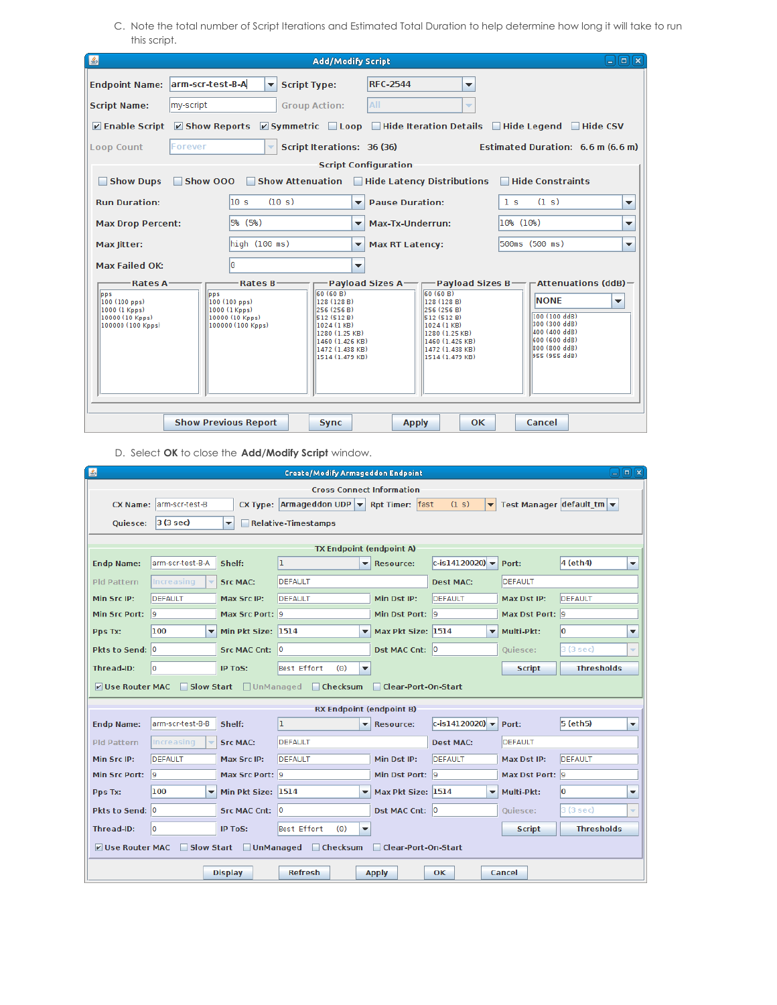C. Note the total number of Script Iterations and Estimated Total Duration to help determine how long it will take to run this script.

| E                                                                                                               |                                                                                            | <b>Add/Modify Script</b>                                                                                                                         |                                                                                                                                                     | $-$ l $\boxed{=}$ l $\boxed{\times}$                                                                                                                                                                      |  |  |  |  |  |  |  |  |
|-----------------------------------------------------------------------------------------------------------------|--------------------------------------------------------------------------------------------|--------------------------------------------------------------------------------------------------------------------------------------------------|-----------------------------------------------------------------------------------------------------------------------------------------------------|-----------------------------------------------------------------------------------------------------------------------------------------------------------------------------------------------------------|--|--|--|--|--|--|--|--|
| Endpoint Name: arm-scr-test-B-A                                                                                 | <b>Script Type:</b><br>$\overline{\phantom{a}}$                                            |                                                                                                                                                  | <b>RFC-2544</b><br>▼                                                                                                                                |                                                                                                                                                                                                           |  |  |  |  |  |  |  |  |
| my-script<br><b>Script Name:</b>                                                                                | <b>Group Action:</b>                                                                       | AII                                                                                                                                              | $\overline{\phantom{a}}$                                                                                                                            |                                                                                                                                                                                                           |  |  |  |  |  |  |  |  |
| <b>☑ Enable Script ☑ Show Reports</b> <i>☑</i> Symmetric <b>Depop Deve</b> Hide Iteration Details Device Legend |                                                                                            |                                                                                                                                                  |                                                                                                                                                     | $\Box$ Hide CSV                                                                                                                                                                                           |  |  |  |  |  |  |  |  |
| Forever<br><b>Loop Count</b>                                                                                    | ÷                                                                                          | Script Iterations: 36 (36)                                                                                                                       |                                                                                                                                                     | Estimated Duration: 6.6 m (6.6 m)                                                                                                                                                                         |  |  |  |  |  |  |  |  |
| <b>Script Configuration</b>                                                                                     |                                                                                            |                                                                                                                                                  |                                                                                                                                                     |                                                                                                                                                                                                           |  |  |  |  |  |  |  |  |
| Show 000<br>Show Dups                                                                                           |                                                                                            |                                                                                                                                                  | Show Attenuation   Hide Latency Distributions                                                                                                       | <b>Hide Constraints</b>                                                                                                                                                                                   |  |  |  |  |  |  |  |  |
| <b>Run Duration:</b>                                                                                            | 10 s<br>(10 s)                                                                             | $\overline{\mathbf{v}}$                                                                                                                          | <b>Pause Duration:</b>                                                                                                                              | (1 s)<br>1 <sub>s</sub><br>▼                                                                                                                                                                              |  |  |  |  |  |  |  |  |
| <b>Max Drop Percent:</b>                                                                                        | 5% (5%)                                                                                    | $\overline{\mathbf{v}}$                                                                                                                          | Max-Tx-Underrun:                                                                                                                                    | 10% (10%)<br>▼                                                                                                                                                                                            |  |  |  |  |  |  |  |  |
| Max litter:                                                                                                     | $\text{high}$ (100 ms)                                                                     | $\overline{\mathbf{v}}$                                                                                                                          | <b>Max RT Latency:</b>                                                                                                                              | 500ms (500 ms)<br>▼                                                                                                                                                                                       |  |  |  |  |  |  |  |  |
| Max Failed OK:                                                                                                  | I٥                                                                                         | $\overline{\phantom{a}}$                                                                                                                         |                                                                                                                                                     |                                                                                                                                                                                                           |  |  |  |  |  |  |  |  |
| -Rates A-<br>pps<br>$100(100 \text{ pps})$<br>1000 (1 Kpps)<br>10000 (10 Kpps)<br>100000 (100 Kpps)             | -Rates B-<br>pps<br>100 (100 pps)<br>1000 (1 Kpps)<br>10000 (10 Kpps)<br>100000 (100 Kpps) | 60 (60 B)<br>128 (128 B)<br>256 (256 B)<br>512 (512 B)<br>1024 (1 KB)<br>1280 (1.25 KB)<br>1460 (1.426 KB)<br>1472 (1.438 KB)<br>1514 (1.479 KB) | (60)(60)<br>  128 (128 B)<br>256 (256 B)<br>512 (512 B)<br>  1024 (1 KB)<br>1280 (1.25 KB)<br>1460 (1.426 KB)<br>1472 (1.438 KB)<br>1514 (1.479 KB) | −Payload Sizes A───Payload Sizes B───Attenuations (ddB)−<br><b>NONE</b><br>$\overline{\phantom{a}}$<br>100 (100 ddB)<br>300 (300 ddB)<br>400 (400 ddB)<br>600 (600 ddB)<br>800 (800 ddB)<br>955 (955 ddB) |  |  |  |  |  |  |  |  |
|                                                                                                                 | <b>Show Previous Report</b>                                                                | <b>Sync</b>                                                                                                                                      | 0K.<br><b>Apply</b>                                                                                                                                 | Cancel                                                                                                                                                                                                    |  |  |  |  |  |  |  |  |

D. Select **OK** to close the **Add/Modify Script** window.

| 圖<br>$\Box$ e $\bm{x}$<br><b>Create/Modify Armageddon Endpoint</b>              |                                                                                                             |                          |                                                                     |                                               |                                                   |                 |                           |  |  |  |  |  |
|---------------------------------------------------------------------------------|-------------------------------------------------------------------------------------------------------------|--------------------------|---------------------------------------------------------------------|-----------------------------------------------|---------------------------------------------------|-----------------|---------------------------|--|--|--|--|--|
|                                                                                 |                                                                                                             |                          |                                                                     | <b>Cross Connect Information</b>              |                                                   |                 |                           |  |  |  |  |  |
| <b>CX Name:</b>                                                                 | larm-scr-test-B                                                                                             |                          | CX Type: $\vert$ Armageddon UDP $\vert \cdot \vert$ Rpt Timer: fast |                                               | (1 s)<br>▾                                        |                 | Test Manager default $tm$ |  |  |  |  |  |
| <b>Ouiesce:</b>                                                                 | $3(3 \text{ sec})$                                                                                          | $\overline{\phantom{a}}$ | Relative-Timestamps                                                 |                                               |                                                   |                 |                           |  |  |  |  |  |
|                                                                                 |                                                                                                             |                          |                                                                     | <b>TX Endpoint (endpoint A)</b>               |                                                   |                 |                           |  |  |  |  |  |
| <b>Endp Name:</b>                                                               | arm-scr-test-B-A                                                                                            | Shelf:                   | ı                                                                   | $\blacktriangleright$ Resource:               | $ c - i 14120020 $ $\rightarrow$                  | Port:           | 4 (eth4)<br>۰             |  |  |  |  |  |
| <b>Pld Pattern</b>                                                              | Increasing                                                                                                  | <b>Src MAC:</b>          | <b>DEFAULT</b>                                                      |                                               | <b>Dest MAC:</b>                                  | <b>DEFAULT</b>  |                           |  |  |  |  |  |
| Min Src IP:                                                                     | DEFAULT                                                                                                     | Max Src IP:              | <b>DEFAULT</b>                                                      | Min Dst IP:                                   | DEFAULT                                           | Max Dst IP:     | DEFAULT                   |  |  |  |  |  |
| Min Src Port:                                                                   | - 19                                                                                                        | Max Src Port: 9          |                                                                     | Min Dst Port: 9                               |                                                   | Max Dst Port: 9 |                           |  |  |  |  |  |
| Pps Tx:                                                                         | 100<br>$\overline{\phantom{a}}$                                                                             | Min Pkt Size: 1514       |                                                                     | Max Pkt Size: 1514                            | $\overline{\mathbf{v}}$                           | Multi-Pkt:      | lo<br>٠                   |  |  |  |  |  |
| Pkts to Send: 0                                                                 |                                                                                                             | Src MAC Cnt: 0           |                                                                     | Dst MAC Cnt: 0                                |                                                   | Quiesce:        | 3 (3 sec)                 |  |  |  |  |  |
| Thread-ID:                                                                      | lo.                                                                                                         | IP ToS:                  | Best Effort<br>(0)                                                  | ▼                                             |                                                   | <b>Script</b>   | <b>Thresholds</b>         |  |  |  |  |  |
| $V$ Use Router MAC                                                              |                                                                                                             |                          | Slow Start   UnManaged   Checksum                                   | Clear-Port-On-Start                           |                                                   |                 |                           |  |  |  |  |  |
|                                                                                 |                                                                                                             |                          |                                                                     | <b>RX Endpoint (endpoint B)</b>               |                                                   |                 |                           |  |  |  |  |  |
| <b>Endp Name:</b>                                                               | arm-scr-test-B-B                                                                                            | Shelf:                   | ı                                                                   | Resource:<br>▼                                | $ c - i s 1 4 1 2 0 0 2 0 $ $\blacktriangleright$ | Port:           | 5 (eth5)<br>▼             |  |  |  |  |  |
| <b>Pld Pattern</b>                                                              | Increasing                                                                                                  | <b>Src MAC:</b>          | <b>DEFAULT</b>                                                      |                                               | <b>Dest MAC:</b>                                  | <b>DEFAULT</b>  |                           |  |  |  |  |  |
| Min Src IP:                                                                     | <b>DEFAULT</b>                                                                                              | Max Src IP:              | <b>DEFAULT</b>                                                      | Min Dst IP:                                   | DEFAULT                                           | Max Dst IP:     | DEFAULT                   |  |  |  |  |  |
| Min Src Port: 9                                                                 |                                                                                                             | Max Src Port: 9          |                                                                     | Min Dst Port: 9                               |                                                   | Max Dst Port: 9 |                           |  |  |  |  |  |
| Pps Tx:                                                                         | 100<br>▼                                                                                                    | Min Pkt Size: 1514       |                                                                     | Max Pkt Size: 1514<br>$\overline{\mathbf{v}}$ | $\overline{\phantom{a}}$                          | Multi-Pkt:      | l0<br>▼                   |  |  |  |  |  |
| Pkts to Send: 0                                                                 |                                                                                                             | <b>Src MAC Cnt:</b>      | $ 0\rangle$                                                         | Dst MAC Cnt: 0                                |                                                   | Quiesce:        | 3 (3 sec)<br>÷            |  |  |  |  |  |
| Thread-ID:                                                                      | lo<br>Best Effort<br><b>Thresholds</b><br><b>IP ToS:</b><br>(0)<br>$\overline{\mathbf{v}}$<br><b>Script</b> |                          |                                                                     |                                               |                                                   |                 |                           |  |  |  |  |  |
| □ UnManaged □ Checksum<br>V Use Router MAC<br>Slow Start<br>Clear-Port-On-Start |                                                                                                             |                          |                                                                     |                                               |                                                   |                 |                           |  |  |  |  |  |
|                                                                                 | <b>Refresh</b><br><b>Apply</b><br><b>OK</b><br>Cancel<br><b>Display</b>                                     |                          |                                                                     |                                               |                                                   |                 |                           |  |  |  |  |  |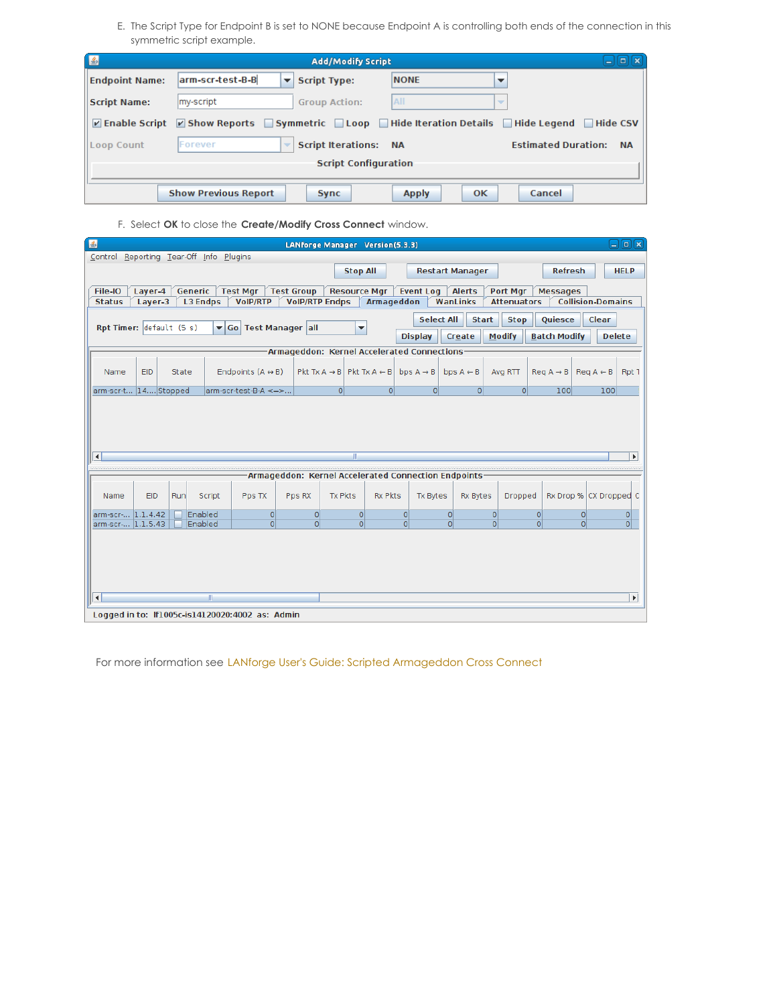E. The Script Type for Endpoint B is set to NONE because Endpoint A is controlling both ends of the connection in this symmetric script example.

| 国                     |                                                                                                                                                                                                                 | $\Box$<br>l se<br><b>Add/Modify Script</b><br><b>SP</b>                 |              |                          |  |  |  |  |  |  |  |  |  |
|-----------------------|-----------------------------------------------------------------------------------------------------------------------------------------------------------------------------------------------------------------|-------------------------------------------------------------------------|--------------|--------------------------|--|--|--|--|--|--|--|--|--|
| <b>Endpoint Name:</b> | arm-scr-test-B-B                                                                                                                                                                                                | <b>Script Type:</b>                                                     | <b>NONE</b>  | $\overline{\phantom{a}}$ |  |  |  |  |  |  |  |  |  |
| <b>Script Name:</b>   | my-script                                                                                                                                                                                                       | <b>Group Action:</b>                                                    | All          | $\overline{\phantom{a}}$ |  |  |  |  |  |  |  |  |  |
|                       | $\triangledown$ Enable Script $\triangledown$ Show Reports $\triangledown$ Symmetric $\triangledown$ Loop $\triangledown$ Hide Iteration Details $\triangledown$ Hide Legend $\triangledown$<br><b>Hide CSV</b> |                                                                         |              |                          |  |  |  |  |  |  |  |  |  |
| <b>Loop Count</b>     | Forever                                                                                                                                                                                                         | <b>Script Iterations: NA</b><br><b>Estimated Duration:</b><br><b>NA</b> |              |                          |  |  |  |  |  |  |  |  |  |
|                       | <b>Script Configuration</b>                                                                                                                                                                                     |                                                                         |              |                          |  |  |  |  |  |  |  |  |  |
|                       |                                                                                                                                                                                                                 |                                                                         |              |                          |  |  |  |  |  |  |  |  |  |
|                       | <b>Show Previous Report</b>                                                                                                                                                                                     | <b>Sync</b>                                                             | <b>Apply</b> | OK<br>Cancel             |  |  |  |  |  |  |  |  |  |

F. Select **OK** to close the **Create/Modify Cross Connect** window.

| 图                                       |            |         |                 |                                                 | LANforge Manager Version(5.3.3)                     |                |                                                                            |                  |                 |                        |                    |                     |                                                 | コ回区                   |
|-----------------------------------------|------------|---------|-----------------|-------------------------------------------------|-----------------------------------------------------|----------------|----------------------------------------------------------------------------|------------------|-----------------|------------------------|--------------------|---------------------|-------------------------------------------------|-----------------------|
| Control Reporting Tear-Off Info Plugins |            |         |                 |                                                 |                                                     |                |                                                                            |                  |                 |                        |                    |                     |                                                 |                       |
|                                         |            |         |                 |                                                 |                                                     |                | <b>Stop All</b>                                                            |                  |                 | <b>Restart Manager</b> |                    | <b>Refresh</b>      |                                                 | <b>HELP</b>           |
| File-IO                                 | Layer-4    | Generic | <b>Test Mgr</b> |                                                 | <b>Test Group</b>                                   |                | <b>Resource Mgr</b>                                                        | <b>Event Log</b> |                 | <b>Alerts</b>          | Port Mgr           | <b>Messages</b>     |                                                 |                       |
| <b>Status</b>                           | Layer-3    |         | <b>L3 Endps</b> | <b>VoIP/RTP</b>                                 | <b>VolP/RTP Endps</b>                               |                | Armageddon                                                                 |                  |                 | WanLinks               | <b>Attenuators</b> |                     | <b>Collision-Domains</b>                        |                       |
|                                         |            |         |                 |                                                 |                                                     |                |                                                                            |                  |                 |                        |                    |                     |                                                 |                       |
| Rpt Timer: default (5 s)                |            |         |                 | ▼ Go Test Manager all                           |                                                     |                | ▼                                                                          |                  | Select All      | <b>Start</b>           | <b>Stop</b>        | Quiesce             | Clear                                           |                       |
|                                         |            |         |                 |                                                 |                                                     |                |                                                                            | <b>Display</b>   |                 | Create                 | <b>Modify</b>      | <b>Batch Modify</b> |                                                 | <b>Delete</b>         |
|                                         |            |         |                 |                                                 | Armageddon: Kernel Accelerated Connections          |                |                                                                            |                  |                 |                        |                    |                     |                                                 |                       |
|                                         |            |         |                 |                                                 |                                                     |                |                                                                            |                  |                 |                        |                    |                     |                                                 |                       |
| Name                                    | <b>EID</b> | State   |                 | Endpoints $(A \leftrightarrow B)$               |                                                     |                | Pkt Tx A $\rightarrow$ B   Pkt Tx A $\leftarrow$ B   bps A $\rightarrow$ B |                  |                 | bps $A \leftarrow B$   | Avg RTT            |                     | $\text{Re}a \rightarrow B$ Reg A $\leftarrow$ B | Rpt 1                 |
| arm-scr-t 14 Stopped                    |            |         |                 | arm-scr-test-B-A <=>                            |                                                     | 0              | $\overline{0}$                                                             |                  | $\overline{0}$  | 0                      | 0                  | 100                 | 100                                             |                       |
|                                         |            |         |                 |                                                 |                                                     |                |                                                                            |                  |                 |                        |                    |                     |                                                 |                       |
|                                         |            |         |                 |                                                 |                                                     |                |                                                                            |                  |                 |                        |                    |                     |                                                 |                       |
|                                         |            |         |                 |                                                 |                                                     |                |                                                                            |                  |                 |                        |                    |                     |                                                 |                       |
|                                         |            |         |                 |                                                 |                                                     |                |                                                                            |                  |                 |                        |                    |                     |                                                 |                       |
| $\blacktriangleleft$                    |            |         |                 |                                                 |                                                     |                | Ш.                                                                         |                  |                 |                        |                    |                     |                                                 | $\mathbf{r}$          |
|                                         |            |         |                 |                                                 |                                                     |                |                                                                            |                  |                 |                        |                    |                     |                                                 |                       |
|                                         |            |         |                 |                                                 | Armageddon: Kernel Accelerated Connection Endpoints |                |                                                                            |                  |                 |                        |                    |                     |                                                 |                       |
|                                         |            |         |                 |                                                 |                                                     |                |                                                                            |                  |                 |                        |                    |                     |                                                 |                       |
| Name                                    | <b>EID</b> | Run     | Script          | Pps TX                                          | Pps RX                                              | <b>Tx Pkts</b> | <b>Rx Pkts</b>                                                             |                  | <b>Tx Bytes</b> | <b>Rx Bytes</b>        | Dropped            |                     | Rx Drop % CX Dropped C                          |                       |
| arm-scr- 1.1.4.42                       |            |         | Enabled         | $\mathsf{o}$                                    | $\Omega$                                            |                | $\Omega$                                                                   | 0                | 0               |                        | $\Omega$           | $\Omega$            | $\Omega$                                        | 0                     |
| arm-scr- 1.1.5.43                       |            |         | Enabled         | $\overline{0}$                                  | 0                                                   |                | $\Omega$                                                                   | $\Omega$         | $\Omega$        |                        | $\Omega$           | $\Omega$            | $\Omega$                                        | 0                     |
|                                         |            |         |                 |                                                 |                                                     |                |                                                                            |                  |                 |                        |                    |                     |                                                 |                       |
|                                         |            |         |                 |                                                 |                                                     |                |                                                                            |                  |                 |                        |                    |                     |                                                 |                       |
|                                         |            |         |                 |                                                 |                                                     |                |                                                                            |                  |                 |                        |                    |                     |                                                 |                       |
|                                         |            |         |                 |                                                 |                                                     |                |                                                                            |                  |                 |                        |                    |                     |                                                 |                       |
|                                         |            |         |                 |                                                 |                                                     |                |                                                                            |                  |                 |                        |                    |                     |                                                 |                       |
| $\left  \cdot \right $                  |            |         | $\parallel$     |                                                 |                                                     |                |                                                                            |                  |                 |                        |                    |                     |                                                 | $\blacktriangleright$ |
|                                         |            |         |                 | Logged in to: If1005c-is14120020:4002 as: Admin |                                                     |                |                                                                            |                  |                 |                        |                    |                     |                                                 |                       |

For more information see LANforge User's Guide: Scripted [Armageddon](http://www.candelatech.com/lfgui_ug.php#arm_scr) Cross Connect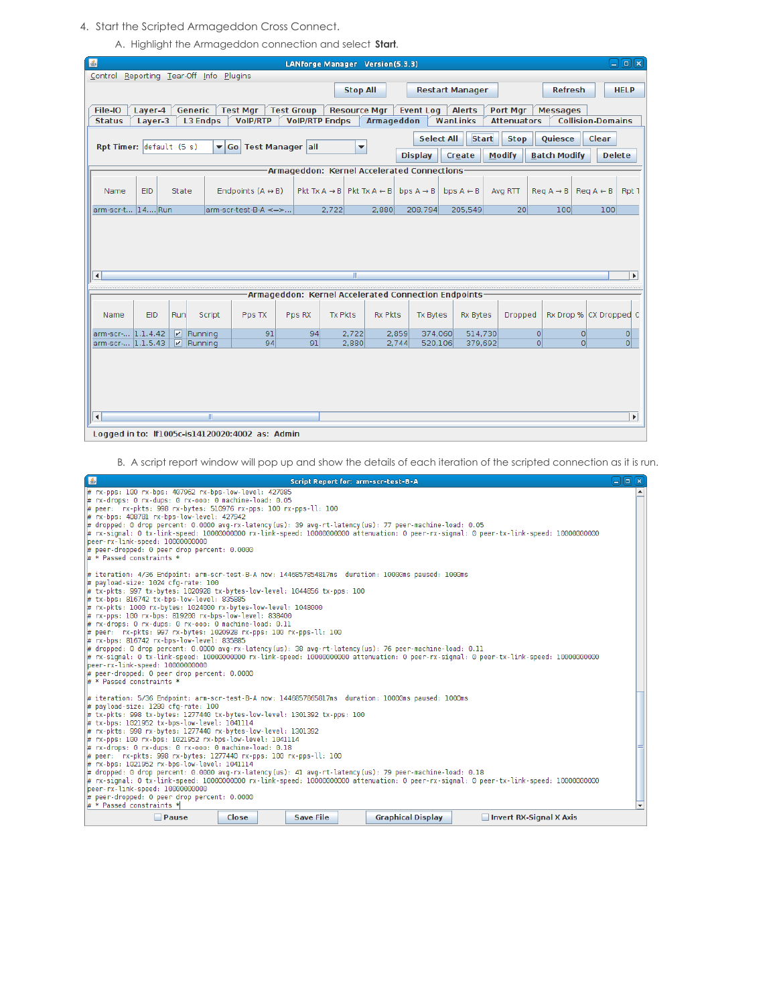4. Start the Scripted Armageddon Cross Connect.

A. Highlight the Armageddon connection and select **Start**.

| 圖                                          |                                                                                                                        |                      |                                                 |                         | LANforge Manager Version(5.3.3)                     |                     |                |                       |                        |                    |                     |                          | 日回区            |
|--------------------------------------------|------------------------------------------------------------------------------------------------------------------------|----------------------|-------------------------------------------------|-------------------------|-----------------------------------------------------|---------------------|----------------|-----------------------|------------------------|--------------------|---------------------|--------------------------|----------------|
|                                            |                                                                                                                        |                      | Control Reporting Tear-Off Info Plugins         |                         |                                                     |                     |                |                       |                        |                    |                     |                          |                |
|                                            |                                                                                                                        |                      |                                                 |                         |                                                     | <b>Stop All</b>     |                |                       | <b>Restart Manager</b> |                    | <b>Refresh</b>      |                          | <b>HELP</b>    |
| File-IO                                    | Layer-4                                                                                                                | Generic              | <b>Test Mgr</b>                                 |                         | <b>Test Group</b>                                   | <b>Resource Mgr</b> |                | <b>Event Log</b>      | <b>Alerts</b>          | Port Mgr           | <b>Messages</b>     |                          |                |
| <b>Status</b>                              | Layer-3                                                                                                                |                      | <b>L3 Endps</b><br><b>VoIP/RTP</b>              |                         | <b>VoIP/RTP Endps</b>                               |                     | Armageddon     |                       | WanLinks               | <b>Attenuators</b> |                     | <b>Collision-Domains</b> |                |
|                                            |                                                                                                                        |                      |                                                 |                         |                                                     |                     |                |                       |                        |                    |                     |                          |                |
| Rpt Timer: default (5 s)                   |                                                                                                                        |                      | $\blacktriangledown$ Go                         | <b>Test Manager all</b> |                                                     | ▼                   |                | <b>Select All</b>     | <b>Start</b>           | <b>Stop</b>        | Quiesce             | Clear                    |                |
|                                            |                                                                                                                        |                      |                                                 |                         |                                                     |                     |                | <b>Display</b>        | Create                 | Modify             | <b>Batch Modify</b> | <b>Delete</b>            |                |
| Armageddon: Kernel Accelerated Connections |                                                                                                                        |                      |                                                 |                         |                                                     |                     |                |                       |                        |                    |                     |                          |                |
|                                            | Pkt Tx $A \rightarrow B$ Pkt Tx $A \leftarrow B$<br>$\text{Req } A \rightarrow B \mid \text{Req } A \leftarrow B \mid$ |                      |                                                 |                         |                                                     |                     |                |                       |                        |                    |                     |                          |                |
| Name                                       | EID                                                                                                                    | State                | Endpoints $(A \leftrightarrow B)$               |                         |                                                     |                     |                | bps $A \rightarrow B$ | bps $A \leftarrow B$   | Avg RTT            |                     |                          | Rpt 1          |
| arm-scr-t 14 Run                           |                                                                                                                        |                      | arm-scr-test-B-A <=>                            |                         | 2,722                                               |                     | 2,880          | 208,794               | 205,549                | 20 <sup>1</sup>    | 100                 | 100                      |                |
|                                            |                                                                                                                        |                      |                                                 |                         |                                                     |                     |                |                       |                        |                    |                     |                          |                |
|                                            |                                                                                                                        |                      |                                                 |                         |                                                     |                     |                |                       |                        |                    |                     |                          |                |
|                                            |                                                                                                                        |                      |                                                 |                         |                                                     |                     |                |                       |                        |                    |                     |                          |                |
|                                            |                                                                                                                        |                      |                                                 |                         |                                                     |                     |                |                       |                        |                    |                     |                          |                |
| $\left  \cdot \right $                     |                                                                                                                        |                      |                                                 |                         |                                                     |                     |                |                       |                        |                    |                     |                          | $\mathbf{F}$   |
|                                            |                                                                                                                        |                      |                                                 |                         |                                                     |                     |                |                       |                        |                    |                     |                          |                |
|                                            |                                                                                                                        |                      |                                                 |                         | Armageddon: Kernel Accelerated Connection Endpoints |                     |                |                       |                        |                    |                     |                          |                |
| Name                                       | EID                                                                                                                    | Run                  | Script<br>Pps TX                                |                         | Pps RX                                              | <b>Tx Pkts</b>      | <b>Rx Pkts</b> | <b>Tx Bytes</b>       | <b>Rx Bytes</b>        | Dropped            |                     | Rx Drop % CX Dropped C   |                |
|                                            |                                                                                                                        |                      |                                                 |                         |                                                     |                     |                |                       |                        |                    |                     |                          |                |
| arm-scr- 1.1.4.42                          |                                                                                                                        | $\n  P\n  Running\n$ |                                                 | 91                      | 94                                                  | 2,722               | 2,859          | 374,060               | 514,730                |                    | 0                   | $\Omega$                 | 이              |
| arm-scr- 1.1.5.43                          |                                                                                                                        | V <br>Running        |                                                 | 94                      | 91                                                  | 2.880               | 2,744          | 520,106               | 379,692                |                    | $\Omega$            | $\overline{0}$           | $\overline{0}$ |
|                                            |                                                                                                                        |                      |                                                 |                         |                                                     |                     |                |                       |                        |                    |                     |                          |                |
|                                            |                                                                                                                        |                      |                                                 |                         |                                                     |                     |                |                       |                        |                    |                     |                          |                |
|                                            |                                                                                                                        |                      |                                                 |                         |                                                     |                     |                |                       |                        |                    |                     |                          |                |
|                                            |                                                                                                                        |                      |                                                 |                         |                                                     |                     |                |                       |                        |                    |                     |                          |                |
| $\left  \cdot \right $                     | TI.<br>$\blacktriangleright$                                                                                           |                      |                                                 |                         |                                                     |                     |                |                       |                        |                    |                     |                          |                |
|                                            |                                                                                                                        |                      |                                                 |                         |                                                     |                     |                |                       |                        |                    |                     |                          |                |
|                                            |                                                                                                                        |                      | Logged in to: If1005c-is14120020:4002 as: Admin |                         |                                                     |                     |                |                       |                        |                    |                     |                          |                |

B. A script report window will pop up and show the details of each iteration of the scripted connection as it is run.

| 鸟                                                                                                                                                                                                                                                                                                                                                                                                                                                                                                                                                                                                                                                                                                                                                                                                                                                                                                                                                 |                                                                                                  |  |  | Script Report for: arm-scr-test-B-A |                                                                                                                                       | $\Box$ e $\boxtimes$ |  |  |  |  |
|---------------------------------------------------------------------------------------------------------------------------------------------------------------------------------------------------------------------------------------------------------------------------------------------------------------------------------------------------------------------------------------------------------------------------------------------------------------------------------------------------------------------------------------------------------------------------------------------------------------------------------------------------------------------------------------------------------------------------------------------------------------------------------------------------------------------------------------------------------------------------------------------------------------------------------------------------|--------------------------------------------------------------------------------------------------|--|--|-------------------------------------|---------------------------------------------------------------------------------------------------------------------------------------|----------------------|--|--|--|--|
| # rx-pps: 100 rx-bps: 407962 rx-bps-low-level: 427085<br>∦# rx-drops: 0 rx-dups: 0 rx-ooo: 0 machine-load: 0.05<br>peer: rx-pkts: 998 rx-bytes: 510976 rx-pps: 100 rx-pps-ll: 100 #<br># rx-bps: 408781 rx-bps-low-level: 427942<br>dropped: 0 drop percent: 0.0000 avq-rx-latency(us): 39 avq-rt-latency(us): 77 peer-machine-load: 0.05 #   <br>peer-rx-link-speed: 10000000000<br># peer-dropped: 0 peer drop percent: 0.0000<br># * Passed constraints *                                                                                                                                                                                                                                                                                                                                                                                                                                                                                      |                                                                                                  |  |  |                                     | rx-signal: 0 tx-link-speed: 10000000000 rx-link-speed: 10000000000 attenuation: 0 peer-rx-signal: 0 peer-tx-link-speed: 10000000000 # | $\blacktriangle$     |  |  |  |  |
| ig iteration: 4/36 Endpoint: arm-scr-test-B-A now: 1446857854817ms duration: 10000ms paused: 1000ms #<br># payload-size: 1024 cfg-rate: 100<br># tx-pkts: 997 tx-bytes: 1020928 tx-bytes-low-level: 1044856 tx-pps: 100<br># tx-bps: 816742 tx-bps-low-level: 835885<br> # rx-pkts: 1000 rx-bytes: 1024000 rx-bytes-low-level: 1048000<br># rx-pps: 100 rx-bps: 819200 rx-bps-low-level: 838400<br># rx-drops: 0 rx-dups: 0 rx-ooo: 0 machine-load: 0.11<br># peer: rx-pkts: 997 rx-bytes: 1020928 rx-pps: 100 rx-pps-ll: 100<br># rx-bps: 816742 rx-bps-low-level: 835885<br>drepped: 0 drop percent: 0.0000 avq-rx-latency(us): 38 avq-rt-latency(us): 76 peer-machine-load: 0.11 #  <br>rx-signal: 0 tx-link-speed: 10000000000 rx-link-speed: 10000000000 attenuation: 0 peer-rx-signal: 0 peer-tx-link-speed: 10000000000 #<br>peer-rx-link-speed: 10000000000<br># peer-dropped: 0 peer drop percent: 0.0000<br># * Passed constraints *    |                                                                                                  |  |  |                                     |                                                                                                                                       |                      |  |  |  |  |
| ir iteration: 5/36 Endpoint: arm-scr-test-B-A now: 1446857865817ms  duration: 10000ms paused: 1000ms  <br># pavload-size: 1280 cfg-rate: 100<br># tx-pkts: 998 tx-bytes: 1277440 tx-bytes-low-level: 1301392 tx-pps: 100<br># tx-bps: 1021952 tx-bps-low-level: 1041114<br># rx-pkts: 998 rx-bytes: 1277440 rx-bytes-low-level: 1301392<br># rx-pps: 100 rx-bps: 1021952 rx-bps-low-level: 1041114<br># rx-drops: 0 rx-dups: 0 rx-ooo: 0 machine-load: 0.18<br>peer: rx-pkts: 998 rx-bytes: 1277440 rx-pps: 100 rx-pps-ll: 100 #<br># rx-bps: 1021952 rx-bps-low-level: 1041114<br>dropped: 0 drop percent: 0.0000 avg-rx-latency(us): 41 avg-rt-latency(us): 79 peer-machine-load: 0.18<br>rx-signal: 0 tx-link-speed: 10000000000 rx-link-speed: 10000000000 attenuation: 0 peer-rx-signal: 0 peer-tx-link-speed: 10000000000 #t<br>lbeer-rx-link-speed: 10000000000<br># peer-dropped: 0 peer drop percent: 0.0000<br># * Passed constraints * |                                                                                                  |  |  |                                     |                                                                                                                                       |                      |  |  |  |  |
|                                                                                                                                                                                                                                                                                                                                                                                                                                                                                                                                                                                                                                                                                                                                                                                                                                                                                                                                                   | <b>Save File</b><br>$\Box$ Pause<br><b>Graphical Display</b><br>Invert RX-Signal X Axis<br>Close |  |  |                                     |                                                                                                                                       |                      |  |  |  |  |